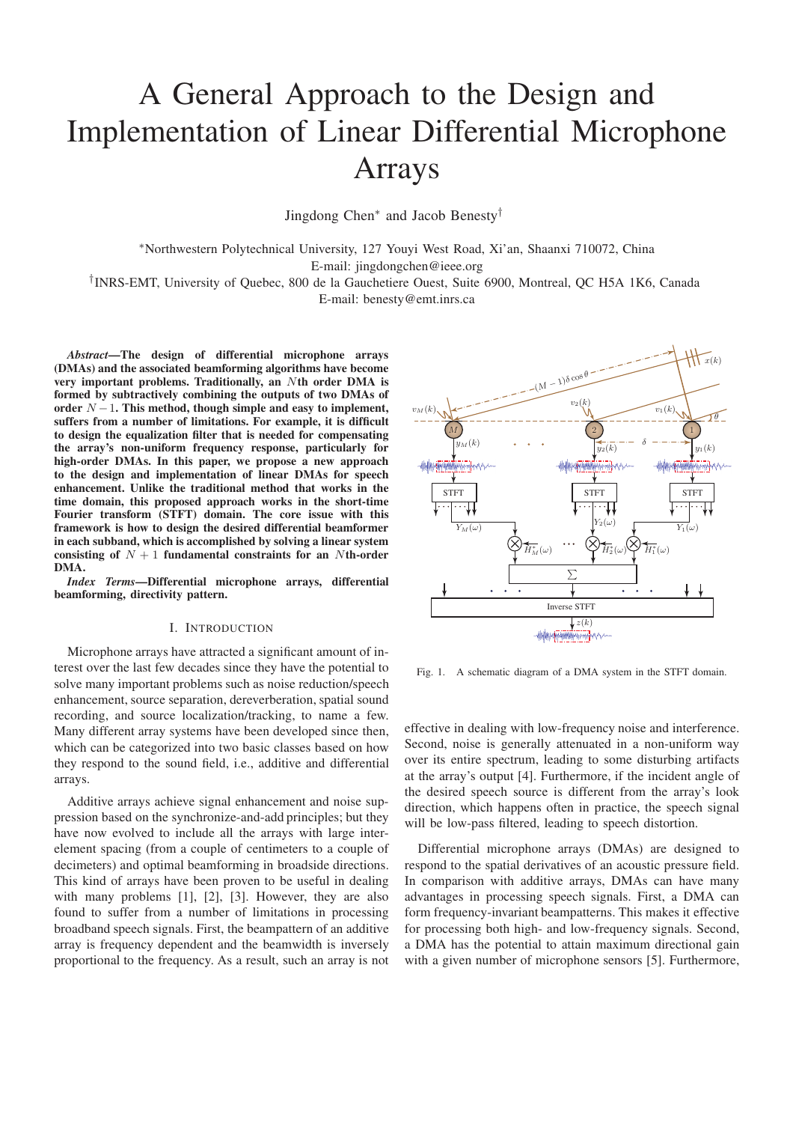# A General Approach to the Design and Implementation of Linear Differential Microphone Arrays

Jingdong Chen∗ and Jacob Benesty†

∗Northwestern Polytechnical University, 127 Youyi West Road, Xi'an, Shaanxi 710072, China E-mail: jingdongchen@ieee.org

†INRS-EMT, University of Quebec, 800 de la Gauchetiere Ouest, Suite 6900, Montreal, QC H5A 1K6, Canada E-mail: benesty@emt.inrs.ca

*Abstract***—The design of differential microphone arrays (DMAs) and the associated beamforming algorithms have become very important problems. Traditionally, an** N**th order DMA is formed by subtractively combining the outputs of two DMAs of order** N −1**. This method, though simple and easy to implement, suffers from a number of limitations. For example, it is difficult to design the equalization filter that is needed for compensating the array's non-uniform frequency response, particularly for high-order DMAs. In this paper, we propose a new approach to the design and implementation of linear DMAs for speech enhancement. Unlike the traditional method that works in the time domain, this proposed approach works in the short-time Fourier transform (STFT) domain. The core issue with this framework is how to design the desired differential beamformer in each subband, which is accomplished by solving a linear system consisting of**  $N + 1$  **fundamental constraints for an** Nth-order **DMA.**

*Index Terms***—Differential microphone arrays, differential beamforming, directivity pattern.**

#### I. INTRODUCTION

Microphone arrays have attracted a significant amount of interest over the last few decades since they have the potential to solve many important problems such as noise reduction/speech enhancement, source separation, dereverberation, spatial sound recording, and source localization/tracking, to name a few. Many different array systems have been developed since then, which can be categorized into two basic classes based on how they respond to the sound field, i.e., additive and differential arrays.

Additive arrays achieve signal enhancement and noise suppression based on the synchronize-and-add principles; but they have now evolved to include all the arrays with large interelement spacing (from a couple of centimeters to a couple of decimeters) and optimal beamforming in broadside directions. This kind of arrays have been proven to be useful in dealing with many problems [1], [2], [3]. However, they are also found to suffer from a number of limitations in processing broadband speech signals. First, the beampattern of an additive array is frequency dependent and the beamwidth is inversely proportional to the frequency. As a result, such an array is not



Fig. 1. A schematic diagram of a DMA system in the STFT domain.

effective in dealing with low-frequency noise and interference. Second, noise is generally attenuated in a non-uniform way over its entire spectrum, leading to some disturbing artifacts at the array's output [4]. Furthermore, if the incident angle of the desired speech source is different from the array's look direction, which happens often in practice, the speech signal will be low-pass filtered, leading to speech distortion.

Differential microphone arrays (DMAs) are designed to respond to the spatial derivatives of an acoustic pressure field. In comparison with additive arrays, DMAs can have many advantages in processing speech signals. First, a DMA can form frequency-invariant beampatterns. This makes it effective for processing both high- and low-frequency signals. Second, a DMA has the potential to attain maximum directional gain with a given number of microphone sensors [5]. Furthermore,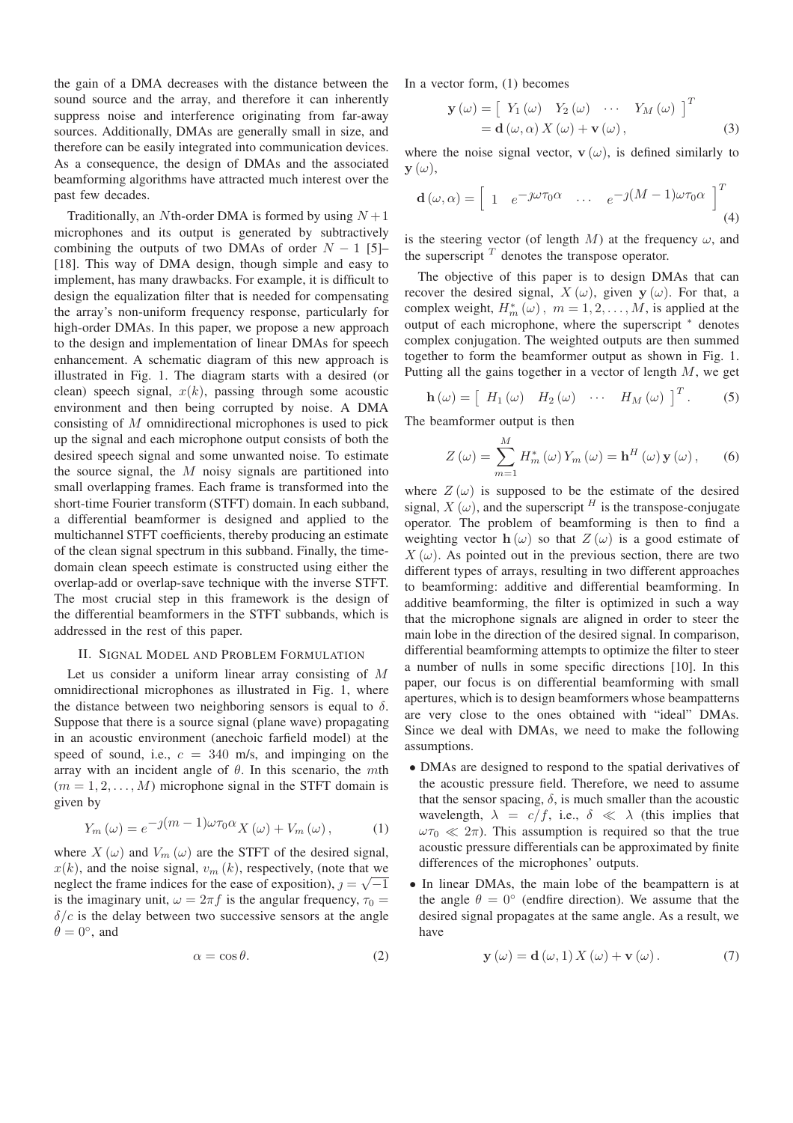the gain of a DMA decreases with the distance between the sound source and the array, and therefore it can inherently suppress noise and interference originating from far-away sources. Additionally, DMAs are generally small in size, and therefore can be easily integrated into communication devices. As a consequence, the design of DMAs and the associated beamforming algorithms have attracted much interest over the past few decades.

Traditionally, an Nth-order DMA is formed by using  $N+1$ microphones and its output is generated by subtractively combining the outputs of two DMAs of order  $N - 1$  [5]– [18]. This way of DMA design, though simple and easy to implement, has many drawbacks. For example, it is difficult to design the equalization filter that is needed for compensating the array's non-uniform frequency response, particularly for high-order DMAs. In this paper, we propose a new approach to the design and implementation of linear DMAs for speech enhancement. A schematic diagram of this new approach is illustrated in Fig. 1. The diagram starts with a desired (or clean) speech signal,  $x(k)$ , passing through some acoustic environment and then being corrupted by noise. A DMA consisting of M omnidirectional microphones is used to pick up the signal and each microphone output consists of both the desired speech signal and some unwanted noise. To estimate the source signal, the  $M$  noisy signals are partitioned into small overlapping frames. Each frame is transformed into the short-time Fourier transform (STFT) domain. In each subband, a differential beamformer is designed and applied to the multichannel STFT coefficients, thereby producing an estimate of the clean signal spectrum in this subband. Finally, the timedomain clean speech estimate is constructed using either the overlap-add or overlap-save technique with the inverse STFT. The most crucial step in this framework is the design of the differential beamformers in the STFT subbands, which is addressed in the rest of this paper.

### II. SIGNAL MODEL AND PROBLEM FORMULATION

Let us consider a uniform linear array consisting of M omnidirectional microphones as illustrated in Fig. 1, where the distance between two neighboring sensors is equal to  $\delta$ . Suppose that there is a source signal (plane wave) propagating in an acoustic environment (anechoic farfield model) at the speed of sound, i.e.,  $c = 340$  m/s, and impinging on the array with an incident angle of  $\theta$ . In this scenario, the mth  $(m = 1, 2, \ldots, M)$  microphone signal in the STFT domain is given by

$$
Y_m(\omega) = e^{-j(m-1)\omega \tau_0 \alpha} X(\omega) + V_m(\omega), \qquad (1)
$$

where  $X(\omega)$  and  $V_m(\omega)$  are the STFT of the desired signal,  $x(k)$ , and the noise signal,  $v_m(k)$ , respectively, (note that we neglect the frame indices for the ease of exposition),  $j = \sqrt{-1}$ is the imaginary unit,  $\omega = 2\pi f$  is the angular frequency,  $\tau_0 =$  $\delta/c$  is the delay between two successive sensors at the angle  $\theta = 0^\circ$ , and

$$
\alpha = \cos \theta. \tag{2}
$$

In a vector form, (1) becomes

$$
\mathbf{y}(\omega) = \begin{bmatrix} Y_1(\omega) & Y_2(\omega) & \cdots & Y_M(\omega) \end{bmatrix}^T
$$
  
=  $\mathbf{d}(\omega, \alpha) X(\omega) + \mathbf{v}(\omega)$ , (3)

where the noise signal vector,  $\mathbf{v}(\omega)$ , is defined similarly to  $\mathbf{y}(\omega)$ ,

$$
\mathbf{d}\left(\omega,\alpha\right) = \begin{bmatrix} 1 & e^{-j\omega\tau_0\alpha} & \cdots & e^{-j(M-1)\omega\tau_0\alpha} \end{bmatrix}^T_{(4)}
$$

is the steering vector (of length M) at the frequency  $\omega$ , and the superscript  $<sup>T</sup>$  denotes the transpose operator.</sup>

The objective of this paper is to design DMAs that can recover the desired signal,  $X(\omega)$ , given **y** ( $\omega$ ). For that, a complex weight,  $H_m^*(\omega)$ ,  $m = 1, 2, ..., M$ , is applied at the output of each microphone, where the superscript <sup>∗</sup> denotes complex conjugation. The weighted outputs are then summed together to form the beamformer output as shown in Fig. 1. Putting all the gains together in a vector of length  $M$ , we get

$$
\mathbf{h}\left(\omega\right) = \left[H_1\left(\omega\right) \quad H_2\left(\omega\right) \quad \cdots \quad H_M\left(\omega\right) \right]^T. \tag{5}
$$

The beamformer output is then

$$
Z(\omega) = \sum_{m=1}^{M} H_m^*(\omega) Y_m(\omega) = \mathbf{h}^H(\omega) \mathbf{y}(\omega), \qquad (6)
$$

where  $Z(\omega)$  is supposed to be the estimate of the desired signal,  $X(\omega)$ , and the superscript <sup>*H*</sup> is the transpose-conjugate operator. The problem of beamforming is then to find a weighting vector  $h(\omega)$  so that  $Z(\omega)$  is a good estimate of  $X(\omega)$ . As pointed out in the previous section, there are two different types of arrays, resulting in two different approaches to beamforming: additive and differential beamforming. In additive beamforming, the filter is optimized in such a way that the microphone signals are aligned in order to steer the main lobe in the direction of the desired signal. In comparison, differential beamforming attempts to optimize the filter to steer a number of nulls in some specific directions [10]. In this paper, our focus is on differential beamforming with small apertures, which is to design beamformers whose beampatterns are very close to the ones obtained with "ideal" DMAs. Since we deal with DMAs, we need to make the following assumptions.

- DMAs are designed to respond to the spatial derivatives of the acoustic pressure field. Therefore, we need to assume that the sensor spacing,  $\delta$ , is much smaller than the acoustic wavelength,  $\lambda = c/f$ , i.e.,  $\delta \ll \lambda$  (this implies that  $\omega \tau_0 \ll 2\pi$ ). This assumption is required so that the true acoustic pressure differentials can be approximated by finite differences of the microphones' outputs.
- In linear DMAs, the main lobe of the beampattern is at the angle  $\theta = 0^{\circ}$  (endfire direction). We assume that the desired signal propagates at the same angle. As a result, we have

$$
\mathbf{y}(\omega) = \mathbf{d}(\omega, 1) X(\omega) + \mathbf{v}(\omega).
$$
 (7)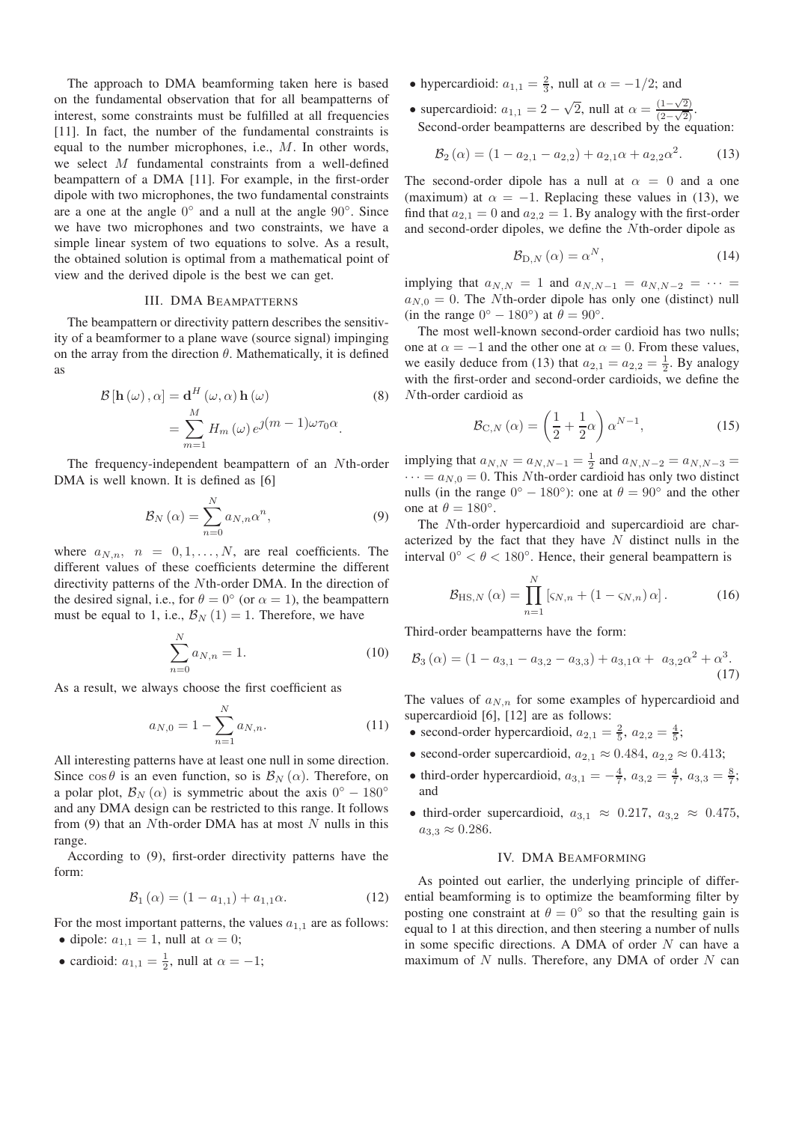The approach to DMA beamforming taken here is based on the fundamental observation that for all beampatterns of interest, some constraints must be fulfilled at all frequencies [11]. In fact, the number of the fundamental constraints is equal to the number microphones, i.e., M. In other words, we select M fundamental constraints from a well-defined beampattern of a DMA [11]. For example, in the first-order dipole with two microphones, the two fundamental constraints are a one at the angle 0◦ and a null at the angle 90◦. Since we have two microphones and two constraints, we have a simple linear system of two equations to solve. As a result, the obtained solution is optimal from a mathematical point of view and the derived dipole is the best we can get.

## III. DMA BEAMPATTERNS

The beampattern or directivity pattern describes the sensitivity of a beamformer to a plane wave (source signal) impinging on the array from the direction  $\theta$ . Mathematically, it is defined as

$$
\mathcal{B}[\mathbf{h}(\omega), \alpha] = \mathbf{d}^{H}(\omega, \alpha) \mathbf{h}(\omega)
$$
\n
$$
= \sum_{m=1}^{M} H_{m}(\omega) e^{j(m-1)\omega \tau_{0} \alpha}.
$$
\n(8)

The frequency-independent beampattern of an Nth-order DMA is well known. It is defined as [6]

$$
\mathcal{B}_N\left(\alpha\right) = \sum_{n=0}^N a_{N,n} \alpha^n,\tag{9}
$$

where  $a_{N,n}$ ,  $n = 0, 1, ..., N$ , are real coefficients. The different values of these coefficients determine the different directivity patterns of the Nth-order DMA. In the direction of the desired signal, i.e., for  $\theta = 0^{\circ}$  (or  $\alpha = 1$ ), the beampattern must be equal to 1, i.e.,  $\mathcal{B}_N(1) = 1$ . Therefore, we have

$$
\sum_{n=0}^{N} a_{N,n} = 1.
$$
\n(10)

As a result, we always choose the first coefficient as

$$
a_{N,0} = 1 - \sum_{n=1}^{N} a_{N,n}.
$$
 (11)

All interesting patterns have at least one null in some direction. Since  $\cos \theta$  is an even function, so is  $\mathcal{B}_N(\alpha)$ . Therefore, on a polar plot,  $\mathcal{B}_N(\alpha)$  is symmetric about the axis 0<sup>°</sup> − 180<sup>°</sup> and any DMA design can be restricted to this range. It follows from (9) that an Nth-order DMA has at most  $N$  nulls in this range.

According to (9), first-order directivity patterns have the form:

$$
\mathcal{B}_1(\alpha) = (1 - a_{1,1}) + a_{1,1}\alpha.
$$
 (12)

For the most important patterns, the values  $a_{1,1}$  are as follows: • dipole:  $a_{1,1} = 1$ , null at  $\alpha = 0$ ;

• cardioid:  $a_{1,1} = \frac{1}{2}$ , null at  $\alpha = -1$ ;

- hypercardioid:  $a_{1,1} = \frac{2}{3}$ , null at  $\alpha = -1/2$ ; and
- supercardioid:  $a_{1,1} = 2 \sqrt{2}$ , null at  $\alpha = \frac{(1-\sqrt{2})}{(2-\sqrt{2})}$ . Second-order beampatterns are described by the equation:

$$
\mathcal{B}_2(\alpha) = (1 - a_{2,1} - a_{2,2}) + a_{2,1}\alpha + a_{2,2}\alpha^2. \tag{13}
$$

The second-order dipole has a null at  $\alpha = 0$  and a one (maximum) at  $\alpha = -1$ . Replacing these values in (13), we find that  $a_{2,1} = 0$  and  $a_{2,2} = 1$ . By analogy with the first-order and second-order dipoles, we define the Nth-order dipole as

$$
\mathcal{B}_{\mathrm{D},N}\left(\alpha\right)=\alpha^{N},\tag{14}
$$

implying that  $a_{N,N} = 1$  and  $a_{N,N-1} = a_{N,N-2} = \cdots$  $a_{N,0} = 0$ . The *N*th-order dipole has only one (distinct) null (in the range  $0° - 180°$ ) at  $\theta = 90°$ .

The most well-known second-order cardioid has two nulls; one at  $\alpha = -1$  and the other one at  $\alpha = 0$ . From these values, we easily deduce from (13) that  $a_{2,1} = a_{2,2} = \frac{1}{2}$ . By analogy with the first-order and second-order cardioids, we define the Nth-order cardioid as

$$
\mathcal{B}_{\mathcal{C},N}\left(\alpha\right) = \left(\frac{1}{2} + \frac{1}{2}\alpha\right)\alpha^{N-1},\tag{15}
$$

implying that  $a_{N,N} = a_{N,N-1} = \frac{1}{2}$  and  $a_{N,N-2} = a_{N,N-3} =$  $\cdots = a_{N,0} = 0$ . This *N*th-order cardioid has only two distinct nulls (in the range  $0° - 180°$ ): one at  $\theta = 90°$  and the other one at  $\theta = 180^\circ$ .

The Nth-order hypercardioid and supercardioid are characterized by the fact that they have  $N$  distinct nulls in the interval  $0^{\circ} < \theta < 180^{\circ}$ . Hence, their general beampattern is

$$
\mathcal{B}_{\text{HS},N}\left(\alpha\right) = \prod_{n=1}^{N} \left[\varsigma_{N,n} + \left(1 - \varsigma_{N,n}\right)\alpha\right].\tag{16}
$$

Third-order beampatterns have the form:

$$
\mathcal{B}_3(\alpha) = (1 - a_{3,1} - a_{3,2} - a_{3,3}) + a_{3,1}\alpha + a_{3,2}\alpha^2 + \alpha^3. \tag{17}
$$

The values of a*N,n* for some examples of hypercardioid and supercardioid [6], [12] are as follows:

- second-order hypercardioid,  $a_{2,1} = \frac{2}{5}$ ,  $a_{2,2} = \frac{4}{5}$ ;
- second-order supercardioid,  $a_{2,1} \approx 0.484$ ,  $a_{2,2} \approx 0.413$ ;
- third-order hypercardioid,  $a_{3,1} = -\frac{4}{7}, a_{3,2} = \frac{4}{7}, a_{3,3} = \frac{8}{7}$ ; and
- third-order supercardioid,  $a_{3,1} \approx 0.217, a_{3,2} \approx 0.475$ ,  $a_{3,3} \approx 0.286$ .

### IV. DMA BEAMFORMING

As pointed out earlier, the underlying principle of differential beamforming is to optimize the beamforming filter by posting one constraint at  $\theta = 0^\circ$  so that the resulting gain is equal to 1 at this direction, and then steering a number of nulls in some specific directions. A DMA of order  $N$  can have a maximum of  $N$  nulls. Therefore, any DMA of order  $N$  can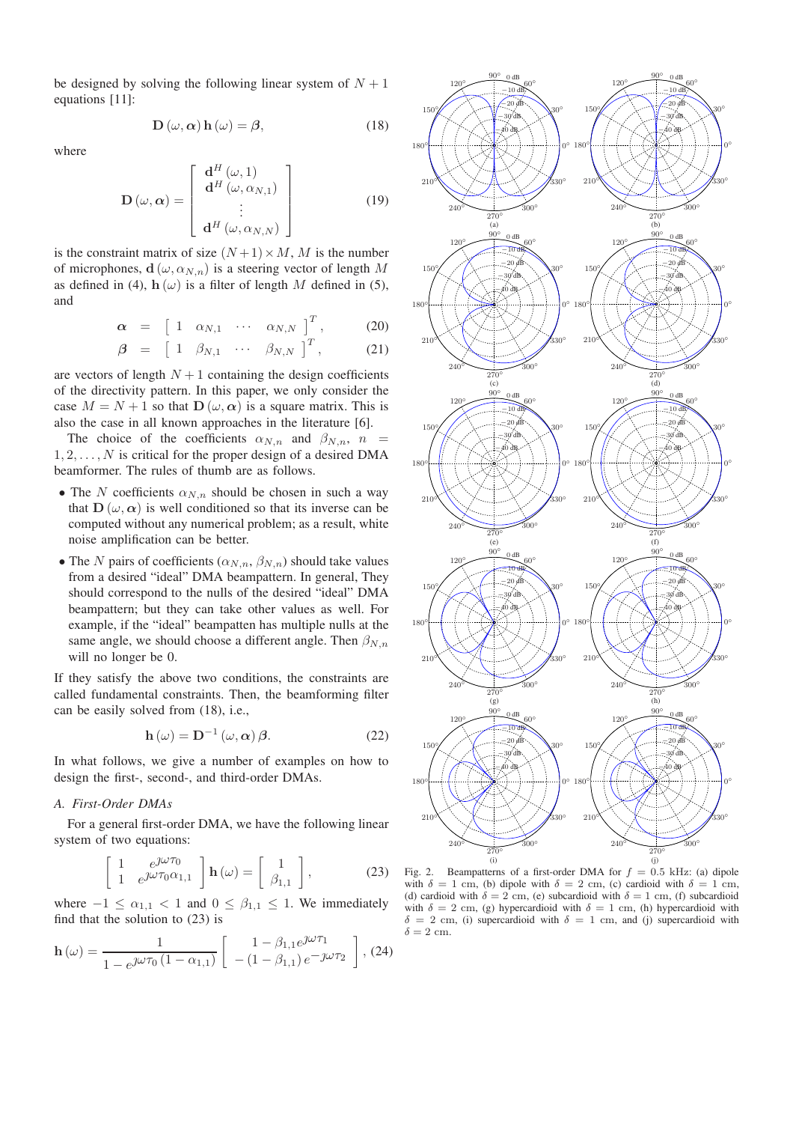be designed by solving the following linear system of  $N + 1$ equations [11]:

$$
\mathbf{D}(\omega, \alpha) \mathbf{h}(\omega) = \beta, \tag{18}
$$

where

$$
\mathbf{D}(\omega,\alpha) = \begin{bmatrix} \mathbf{d}^H(\omega,1) \\ \mathbf{d}^H(\omega,\alpha_{N,1}) \\ \vdots \\ \mathbf{d}^H(\omega,\alpha_{N,N}) \end{bmatrix}
$$
(19)

is the constraint matrix of size  $(N+1) \times M$ , M is the number of microphones,  $\mathbf{d}(\omega, \alpha_{N,n})$  is a steering vector of length M as defined in (4),  $h(\omega)$  is a filter of length M defined in (5), and

$$
\boldsymbol{\alpha} = \begin{bmatrix} 1 & \alpha_{N,1} & \cdots & \alpha_{N,N} \end{bmatrix}^T, \qquad (20)
$$

$$
\boldsymbol{\beta} = \begin{bmatrix} 1 & \beta_{N,1} & \cdots & \beta_{N,N} \end{bmatrix}^T, \tag{21}
$$

are vectors of length  $N+1$  containing the design coefficients of the directivity pattern. In this paper, we only consider the case  $M = N + 1$  so that  $\mathbf{D}(\omega, \alpha)$  is a square matrix. This is also the case in all known approaches in the literature [6].

The choice of the coefficients  $\alpha_{N,n}$  and  $\beta_{N,n}$ ,  $n =$  $1, 2, \ldots, N$  is critical for the proper design of a desired DMA beamformer. The rules of thumb are as follows.

- The N coefficients  $\alpha_{N,n}$  should be chosen in such a way that  $\mathbf{D}(\omega, \alpha)$  is well conditioned so that its inverse can be computed without any numerical problem; as a result, white noise amplification can be better.
- The *N* pairs of coefficients  $(\alpha_{N,n}, \beta_{N,n})$  should take values from a desired "ideal" DMA beampattern. In general, They should correspond to the nulls of the desired "ideal" DMA beampattern; but they can take other values as well. For example, if the "ideal" beampatten has multiple nulls at the same angle, we should choose a different angle. Then  $\beta_{N,n}$ will no longer be 0.

If they satisfy the above two conditions, the constraints are called fundamental constraints. Then, the beamforming filter can be easily solved from (18), i.e.,

$$
\mathbf{h}\left(\omega\right) = \mathbf{D}^{-1}\left(\omega,\alpha\right)\boldsymbol{\beta}.\tag{22}
$$

In what follows, we give a number of examples on how to design the first-, second-, and third-order DMAs.

#### *A. First-Order DMAs*

For a general first-order DMA, we have the following linear system of two equations:

$$
\begin{bmatrix} 1 & e^{j\omega \tau_0} \\ 1 & e^{j\omega \tau_0 \alpha_{1,1}} \end{bmatrix} \mathbf{h}(\omega) = \begin{bmatrix} 1 \\ \beta_{1,1} \end{bmatrix},
$$
(23)

where  $-1 \leq \alpha_{1,1} < 1$  and  $0 \leq \beta_{1,1} \leq 1$ . We immediately find that the solution to (23) is

$$
\mathbf{h}\left(\omega\right) = \frac{1}{1 - e^{j\omega \tau_0} \left(1 - \alpha_{1,1}\right)} \left[ \begin{array}{c} 1 - \beta_{1,1} e^{j\omega \tau_1} \\ -(1 - \beta_{1,1}) e^{-j\omega \tau_2} \end{array} \right],\, (24)
$$



Fig. 2. Beampatterns of a first-order DMA for  $f = 0.5$  kHz: (a) dipole with  $\delta = 1$  cm, (b) dipole with  $\delta = 2$  cm, (c) cardioid with  $\delta = 1$  cm, (d) cardioid with  $\delta = 2$  cm, (e) subcardioid with  $\delta = 1$  cm, (f) subcardioid with  $\delta = 2$  cm, (g) hypercardioid with  $\delta = 1$  cm, (h) hypercardioid with  $\delta = 2$  cm, (i) supercardioid with  $\delta = 1$  cm, and (j) supercardioid with  $\delta = 2$  cm.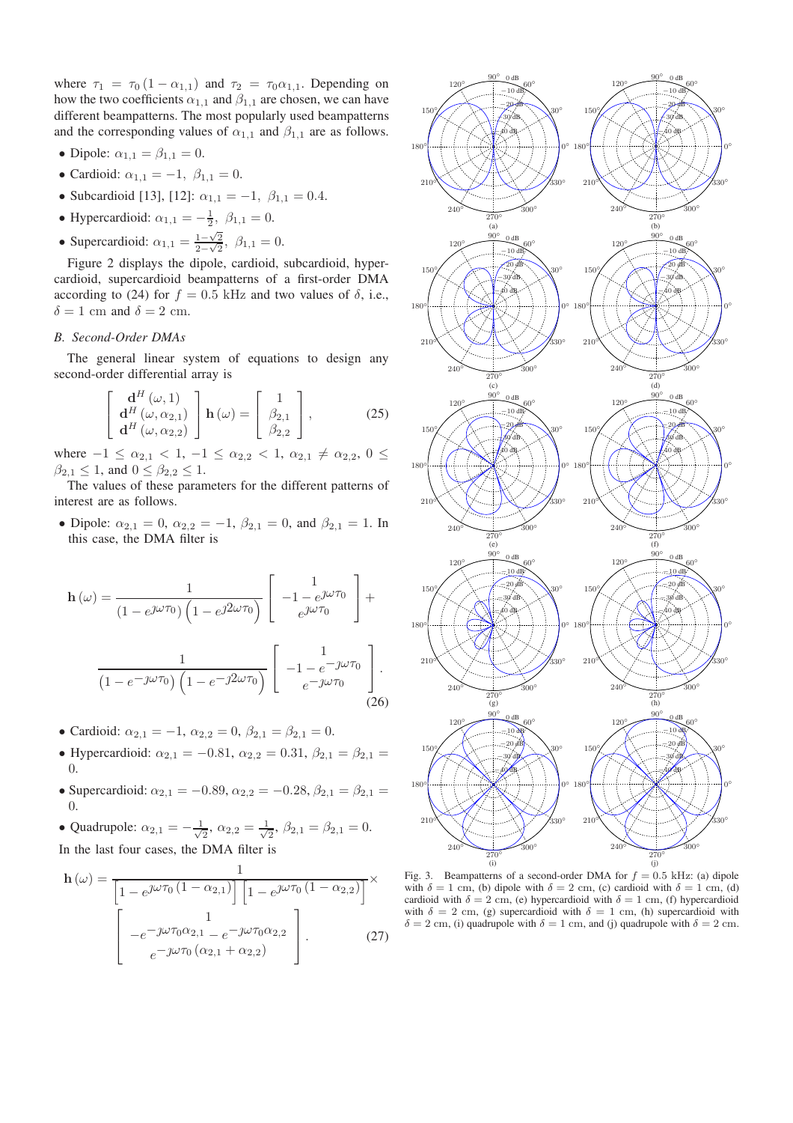where  $\tau_1 = \tau_0 (1 - \alpha_{1,1})$  and  $\tau_2 = \tau_0 \alpha_{1,1}$ . Depending on how the two coefficients  $\alpha_{1,1}$  and  $\beta_{1,1}$  are chosen, we can have different beampatterns. The most popularly used beampatterns and the corresponding values of  $\alpha_{1,1}$  and  $\beta_{1,1}$  are as follows.

- Dipole:  $\alpha_{1,1} = \beta_{1,1} = 0$ .
- Cardioid:  $\alpha_{1,1} = -1, \ \beta_{1,1} = 0.$
- Subcardioid [13], [12]:  $\alpha_{1,1} = -1$ ,  $\beta_{1,1} = 0.4$ .
- Hypercardioid:  $\alpha_{1,1} = -\frac{1}{2}, \ \beta_{1,1} = 0.$
- Supercardioid:  $\alpha_{1,1} = \frac{1-\sqrt{2}}{2-\sqrt{2}}, \ \beta_{1,1} = 0.$

Figure 2 displays the dipole, cardioid, subcardioid, hypercardioid, supercardioid beampatterns of a first-order DMA according to (24) for  $f = 0.5$  kHz and two values of  $\delta$ , i.e.,  $\delta = 1$  cm and  $\delta = 2$  cm.

## *B. Second-Order DMAs*

The general linear system of equations to design any second-order differential array is

$$
\begin{bmatrix}\n\mathbf{d}^{H}(\omega,1) \\
\mathbf{d}^{H}(\omega,\alpha_{2,1}) \\
\mathbf{d}^{H}(\omega,\alpha_{2,2})\n\end{bmatrix}\n\mathbf{h}(\omega) = \begin{bmatrix}\n1 \\
\beta_{2,1} \\
\beta_{2,2}\n\end{bmatrix},
$$
\n(25)

where  $-1 \leq \alpha_{2,1} < 1, -1 \leq \alpha_{2,2} < 1, \alpha_{2,1} \neq \alpha_{2,2}, 0 \leq$  $\beta_{2,1} \leq 1$ , and  $0 \leq \beta_{2,2} \leq 1$ .

The values of these parameters for the different patterns of interest are as follows.

• Dipole:  $\alpha_{2,1} = 0$ ,  $\alpha_{2,2} = -1$ ,  $\beta_{2,1} = 0$ , and  $\beta_{2,1} = 1$ . In this case, the DMA filter is

$$
\mathbf{h}(\omega) = \frac{1}{(1 - e^{j\omega \tau_0}) \left(1 - e^{j2\omega \tau_0}\right)} \begin{bmatrix} 1 \\ -1 - e^{j\omega \tau_0} \\ e^{j\omega \tau_0} \end{bmatrix} + \frac{1}{(1 - e^{-j\omega \tau_0}) \left(1 - e^{-j2\omega \tau_0}\right)} \begin{bmatrix} 1 \\ -1 - e^{-j\omega \tau_0} \\ e^{-j\omega \tau_0} \end{bmatrix}.
$$
\n(26)

- Cardioid:  $\alpha_{2,1} = -1$ ,  $\alpha_{2,2} = 0$ ,  $\beta_{2,1} = \beta_{2,1} = 0$ .
- Hypercardioid:  $\alpha_{2,1} = -0.81, \alpha_{2,2} = 0.31, \beta_{2,1} = \beta_{2,1} =$ 0.
- Supercardioid:  $\alpha_{2,1} = -0.89, \alpha_{2,2} = -0.28, \beta_{2,1} = \beta_{2,1} =$ 0.

• Quadrupole: 
$$
\alpha_{2,1} = -\frac{1}{\sqrt{2}}
$$
,  $\alpha_{2,2} = \frac{1}{\sqrt{2}}$ ,  $\beta_{2,1} = \beta_{2,1} = 0$ .  
In the last four cases, the DMA filter is

$$
\mathbf{h}\left(\omega\right) = \frac{1}{\left[1 - e^{j\omega\tau_0}\left(1 - \alpha_{2,1}\right)\right] \left[1 - e^{j\omega\tau_0}\left(1 - \alpha_{2,2}\right)\right]} \times \left[\begin{array}{c} 1 \\ -e^{-j\omega\tau_0\alpha_{2,1}} - e^{-j\omega\tau_0\alpha_{2,2}} \\ e^{-j\omega\tau_0\left(\alpha_{2,1} + \alpha_{2,2}\right)} \end{array}\right].\tag{27}
$$



Fig. 3. Beampatterns of a second-order DMA for  $f = 0.5$  kHz: (a) dipole with  $\delta = 1$  cm, (b) dipole with  $\delta = 2$  cm, (c) cardioid with  $\delta = 1$  cm, (d) cardioid with  $\delta = 2$  cm, (e) hypercardioid with  $\delta = 1$  cm, (f) hypercardioid with  $\delta = 2$  cm, (g) supercardioid with  $\delta = 1$  cm, (h) supercardioid with  $\delta = 2$  cm, (i) quadrupole with  $\delta = 1$  cm, and (j) quadrupole with  $\delta = 2$  cm.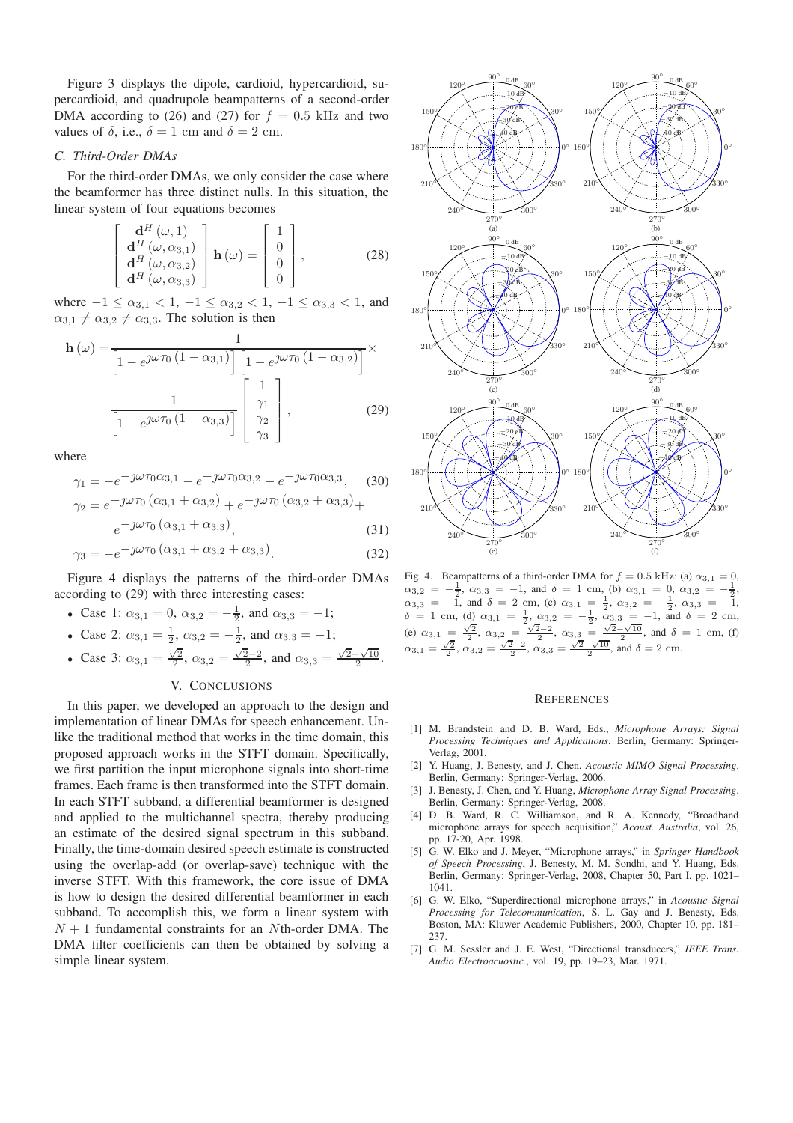Figure 3 displays the dipole, cardioid, hypercardioid, supercardioid, and quadrupole beampatterns of a second-order DMA according to (26) and (27) for  $f = 0.5$  kHz and two values of  $\delta$ , i.e.,  $\delta = 1$  cm and  $\delta = 2$  cm.

## *C. Third-Order DMAs*

For the third-order DMAs, we only consider the case where the beamformer has three distinct nulls. In this situation, the linear system of four equations becomes

$$
\begin{bmatrix}\n\mathbf{d}^{H}(\omega,1) \\
\mathbf{d}^{H}(\omega,\alpha_{3,1}) \\
\mathbf{d}^{H}(\omega,\alpha_{3,2}) \\
\mathbf{d}^{H}(\omega,\alpha_{3,3})\n\end{bmatrix}\n\mathbf{h}(\omega) = \begin{bmatrix}\n1 \\
0 \\
0 \\
0\n\end{bmatrix},
$$
\n(28)

where  $-1 \leq \alpha_{3,1} < 1, -1 \leq \alpha_{3,2} < 1, -1 \leq \alpha_{3,3} < 1$ , and  $\alpha_{3,1} \neq \alpha_{3,2} \neq \alpha_{3,3}$ . The solution is then

$$
\mathbf{h}\left(\omega\right) = \frac{1}{\left[1 - e^{\jmath\omega\tau_0}\left(1 - \alpha_{3,1}\right)\right] \left[1 - e^{\jmath\omega\tau_0}\left(1 - \alpha_{3,2}\right)\right]} \times \frac{1}{\left[1 - e^{\jmath\omega\tau_0}\left(1 - \alpha_{3,3}\right)\right]} \begin{bmatrix} 1\\ \gamma_1\\ \gamma_2\\ \gamma_3 \end{bmatrix},
$$
\n(29)

where

$$
\gamma_1 = -e^{-j\omega\tau_0\alpha_{3,1}} - e^{-j\omega\tau_0\alpha_{3,2}} - e^{-j\omega\tau_0\alpha_{3,3}},
$$
\n(30)  
\n
$$
\gamma_2 = e^{-j\omega\tau_0} (\alpha_{3,1} + \alpha_{3,2}) + e^{-j\omega\tau_0} (\alpha_{3,2} + \alpha_{3,3}) +
$$

$$
e^{-j\omega\tau_{0}(\alpha_{3,1}+\alpha_{3,3})}, \qquad (31)
$$

$$
\gamma_3 = -e^{-j\omega\tau_0} (\alpha_{3,1} + \alpha_{3,2} + \alpha_{3,3}). \tag{32}
$$

Figure 4 displays the patterns of the third-order DMAs according to (29) with three interesting cases:

• Case 1: 
$$
\alpha_{3,1} = 0
$$
,  $\alpha_{3,2} = -\frac{1}{2}$ , and  $\alpha_{3,3} = -1$ ;

• Case 2: 
$$
\alpha_{3,1} = \frac{1}{2}
$$
,  $\alpha_{3,2} = -\frac{1}{2}$ , and  $\alpha_{3,3} = -1$ ;

• Case 3: 
$$
\alpha_{3,1} = \frac{\sqrt{2}}{2}
$$
,  $\alpha_{3,2} = \frac{\sqrt{2}-2}{2}$ , and  $\alpha_{3,3} = \frac{\sqrt{2}-\sqrt{10}}{2}$ .

## V. CONCLUSIONS

In this paper, we developed an approach to the design and implementation of linear DMAs for speech enhancement. Unlike the traditional method that works in the time domain, this proposed approach works in the STFT domain. Specifically, we first partition the input microphone signals into short-time frames. Each frame is then transformed into the STFT domain. In each STFT subband, a differential beamformer is designed and applied to the multichannel spectra, thereby producing an estimate of the desired signal spectrum in this subband. Finally, the time-domain desired speech estimate is constructed using the overlap-add (or overlap-save) technique with the inverse STFT. With this framework, the core issue of DMA is how to design the desired differential beamformer in each subband. To accomplish this, we form a linear system with  $N + 1$  fundamental constraints for an Nth-order DMA. The DMA filter coefficients can then be obtained by solving a simple linear system.



Fig. 4. Beampatterns of a third-order DMA for  $f = 0.5$  kHz: (a)  $\alpha_{3,1} = 0$ ,  $\alpha_{3,2} = -\frac{1}{2}, \ \alpha_{3,3} = -1, \text{ and } \ \delta = 1 \text{ cm}, \text{ (b) } \ \alpha_{3,1} = 0, \ \alpha_{3,2} = -\frac{1}{2},$  $\alpha_{3,3} = -\overline{1}$ , and  $\delta = 2$  cm, (c)  $\alpha_{3,1} = \frac{1}{2}$ ,  $\alpha_{3,2} = -\frac{1}{2}$ ,  $\alpha_{3,3} = -\overline{1}$ ,  $\delta = 1$  cm, (d)  $\alpha_{3,1} = \frac{1}{2}, \alpha_{3,2} = -\frac{1}{2}, \alpha_{3,3} = -1, \text{ and } \delta = 2 \text{ cm},$ (e)  $\alpha_{3,1} = \frac{\sqrt{2}}{2}, \ \alpha_{3,2} = \frac{\sqrt{2}-2}{2}, \ \alpha_{3,3} = \frac{\sqrt{2}-\sqrt{10}}{2}, \text{ and } \delta = 1 \text{ cm}, \text{ (f)}$  $\alpha_{3,1} = \frac{\sqrt{2}}{2}, \alpha_{3,2} = \frac{\sqrt{2}-2}{2}, \alpha_{3,3} = \frac{\sqrt{2}-\sqrt{10}}{2}, \text{ and } \delta = 2 \text{ cm}.$ 

#### **REFERENCES**

- [1] M. Brandstein and D. B. Ward, Eds., *Microphone Arrays: Signal Processing Techniques and Applications*. Berlin, Germany: Springer-Verlag, 2001.
- [2] Y. Huang, J. Benesty, and J. Chen, *Acoustic MIMO Signal Processing*. Berlin, Germany: Springer-Verlag, 2006.
- [3] J. Benesty, J. Chen, and Y. Huang, *Microphone Array Signal Processing*. Berlin, Germany: Springer-Verlag, 2008.
- [4] D. B. Ward, R. C. Williamson, and R. A. Kennedy, "Broadband microphone arrays for speech acquisition," *Acoust. Australia*, vol. 26, pp. 17-20, Apr. 1998.
- [5] G. W. Elko and J. Meyer, "Microphone arrays," in *Springer Handbook of Speech Processing*, J. Benesty, M. M. Sondhi, and Y. Huang, Eds. Berlin, Germany: Springer-Verlag, 2008, Chapter 50, Part I, pp. 1021– 1041.
- [6] G. W. Elko, "Superdirectional microphone arrays," in *Acoustic Signal Processing for Telecommunication*, S. L. Gay and J. Benesty, Eds. Boston, MA: Kluwer Academic Publishers, 2000, Chapter 10, pp. 181– 237.
- [7] G. M. Sessler and J. E. West, "Directional transducers," *IEEE Trans. Audio Electroacuostic.*, vol. 19, pp. 19–23, Mar. 1971.